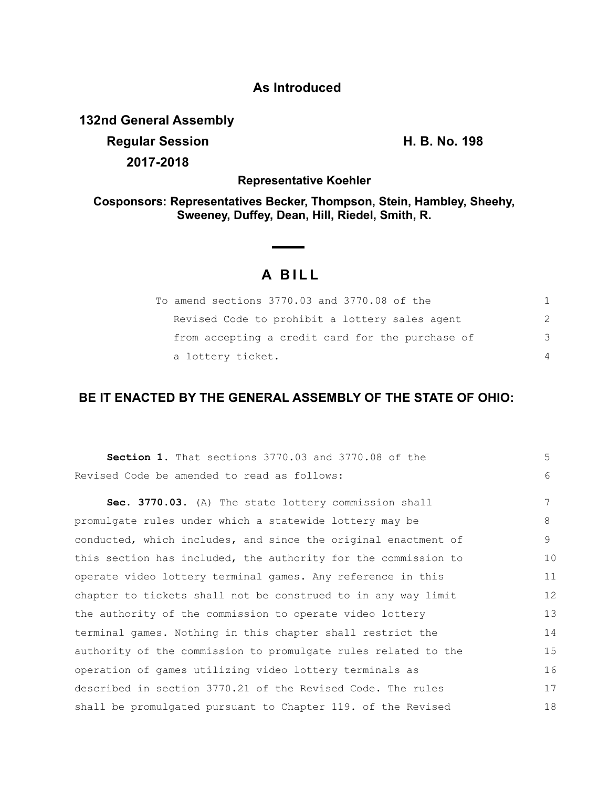## **As Introduced**

**132nd General Assembly**

**Regular Session H. B. No. 198 2017-2018**

**Representative Koehler**

**Cosponsors: Representatives Becker, Thompson, Stein, Hambley, Sheehy, Sweeney, Duffey, Dean, Hill, Riedel, Smith, R.**

## **A BILL**

| To amend sections 3770.03 and 3770.08 of the     |               |
|--------------------------------------------------|---------------|
| Revised Code to prohibit a lottery sales agent   | $\mathcal{P}$ |
| from accepting a credit card for the purchase of | 3             |
| a lottery ticket.                                | 4             |

## **BE IT ENACTED BY THE GENERAL ASSEMBLY OF THE STATE OF OHIO:**

| <b>Section 1.</b> That sections 3770.03 and 3770.08 of the     | 5  |
|----------------------------------------------------------------|----|
| Revised Code be amended to read as follows:                    | 6  |
| Sec. 3770.03. (A) The state lottery commission shall           | 7  |
| promulgate rules under which a statewide lottery may be        | 8  |
| conducted, which includes, and since the original enactment of | 9  |
| this section has included, the authority for the commission to | 10 |
| operate video lottery terminal games. Any reference in this    | 11 |
| chapter to tickets shall not be construed to in any way limit  | 12 |
| the authority of the commission to operate video lottery       | 13 |
| terminal games. Nothing in this chapter shall restrict the     | 14 |
| authority of the commission to promulgate rules related to the | 15 |
| operation of games utilizing video lottery terminals as        | 16 |
| described in section 3770.21 of the Revised Code. The rules    | 17 |
| shall be promulgated pursuant to Chapter 119. of the Revised   | 18 |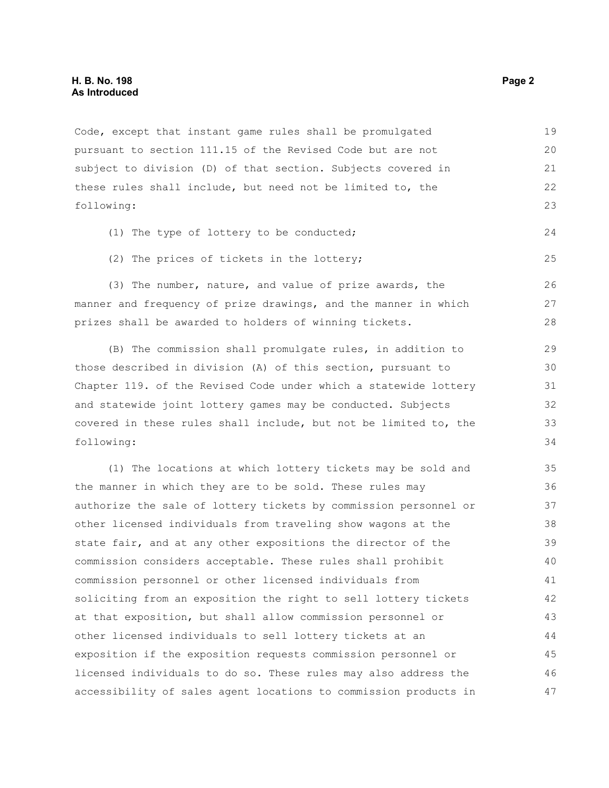Code, except that instant game rules shall be promulgated pursuant to section 111.15 of the Revised Code but are not subject to division (D) of that section. Subjects covered in these rules shall include, but need not be limited to, the following: 19 20 21 22 23

- (1) The type of lottery to be conducted;
- (2) The prices of tickets in the lottery;

(3) The number, nature, and value of prize awards, the manner and frequency of prize drawings, and the manner in which prizes shall be awarded to holders of winning tickets.

(B) The commission shall promulgate rules, in addition to those described in division (A) of this section, pursuant to Chapter 119. of the Revised Code under which a statewide lottery and statewide joint lottery games may be conducted. Subjects covered in these rules shall include, but not be limited to, the following:

(1) The locations at which lottery tickets may be sold and the manner in which they are to be sold. These rules may authorize the sale of lottery tickets by commission personnel or other licensed individuals from traveling show wagons at the state fair, and at any other expositions the director of the commission considers acceptable. These rules shall prohibit commission personnel or other licensed individuals from soliciting from an exposition the right to sell lottery tickets at that exposition, but shall allow commission personnel or other licensed individuals to sell lottery tickets at an exposition if the exposition requests commission personnel or licensed individuals to do so. These rules may also address the accessibility of sales agent locations to commission products in 35 36 37 38 39 40 41 42 43 44 45 46 47

24

25

26 27 28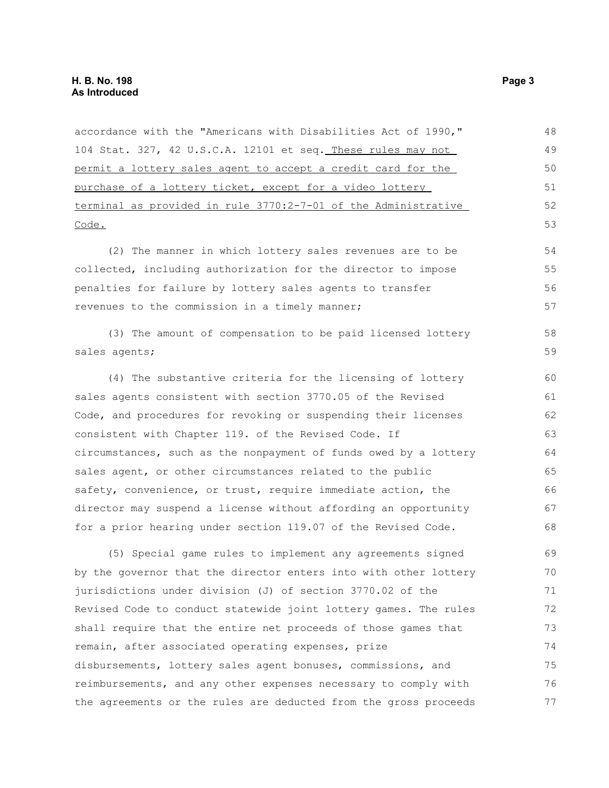accordance with the "Americans with Disabilities Act of 1990," 104 Stat. 327, 42 U.S.C.A. 12101 et seq. These rules may not permit a lottery sales agent to accept a credit card for the purchase of a lottery ticket, except for a video lottery terminal as provided in rule 3770:2-7-01 of the Administrative Code. (2) The manner in which lottery sales revenues are to be collected, including authorization for the director to impose penalties for failure by lottery sales agents to transfer revenues to the commission in a timely manner; (3) The amount of compensation to be paid licensed lottery sales agents; (4) The substantive criteria for the licensing of lottery sales agents consistent with section 3770.05 of the Revised Code, and procedures for revoking or suspending their licenses consistent with Chapter 119. of the Revised Code. If circumstances, such as the nonpayment of funds owed by a lottery sales agent, or other circumstances related to the public safety, convenience, or trust, require immediate action, the director may suspend a license without affording an opportunity for a prior hearing under section 119.07 of the Revised Code. (5) Special game rules to implement any agreements signed by the governor that the director enters into with other lottery jurisdictions under division (J) of section 3770.02 of the Revised Code to conduct statewide joint lottery games. The rules shall require that the entire net proceeds of those games that remain, after associated operating expenses, prize disbursements, lottery sales agent bonuses, commissions, and 48 49 50 51 52 53 54 55 56 57 58 59 60 61 62 63 64 65 66 67 68 69 70 71 72 73 74 75 76

reimbursements, and any other expenses necessary to comply with the agreements or the rules are deducted from the gross proceeds 77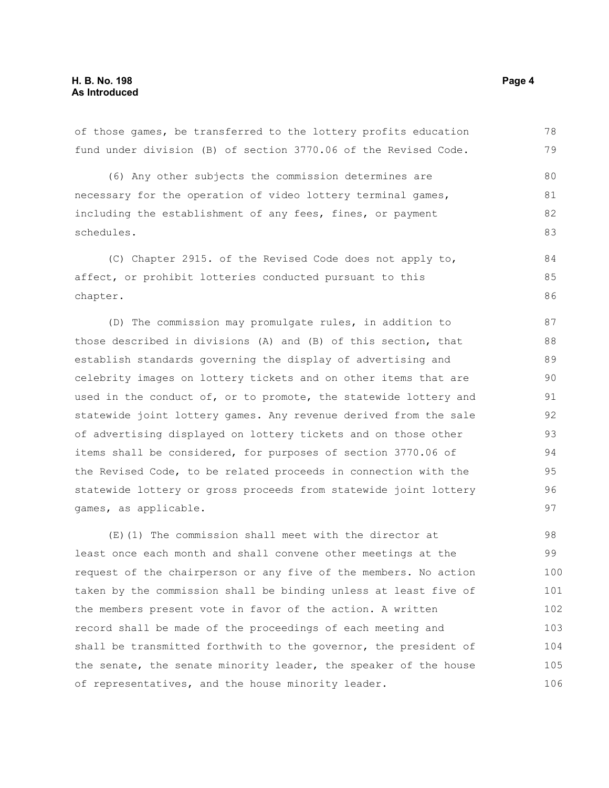of those games, be transferred to the lottery profits education fund under division (B) of section 3770.06 of the Revised Code.

(6) Any other subjects the commission determines are necessary for the operation of video lottery terminal games, including the establishment of any fees, fines, or payment schedules. 80 81 82 83

(C) Chapter 2915. of the Revised Code does not apply to, affect, or prohibit lotteries conducted pursuant to this chapter. 84 85 86

(D) The commission may promulgate rules, in addition to those described in divisions (A) and (B) of this section, that establish standards governing the display of advertising and celebrity images on lottery tickets and on other items that are used in the conduct of, or to promote, the statewide lottery and statewide joint lottery games. Any revenue derived from the sale of advertising displayed on lottery tickets and on those other items shall be considered, for purposes of section 3770.06 of the Revised Code, to be related proceeds in connection with the statewide lottery or gross proceeds from statewide joint lottery games, as applicable.

(E)(1) The commission shall meet with the director at least once each month and shall convene other meetings at the request of the chairperson or any five of the members. No action taken by the commission shall be binding unless at least five of the members present vote in favor of the action. A written record shall be made of the proceedings of each meeting and shall be transmitted forthwith to the governor, the president of the senate, the senate minority leader, the speaker of the house of representatives, and the house minority leader. 98 99 100 101 102 103 104 105 106

78 79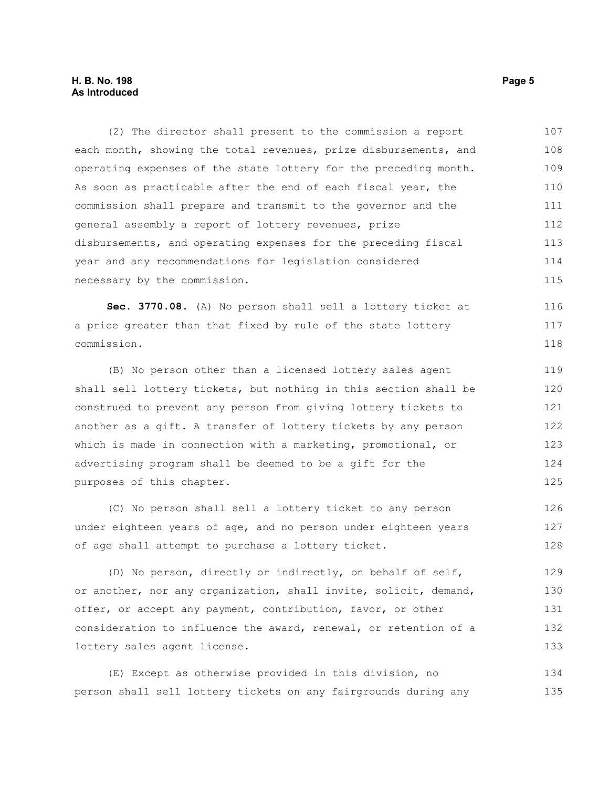(2) The director shall present to the commission a report each month, showing the total revenues, prize disbursements, and operating expenses of the state lottery for the preceding month. As soon as practicable after the end of each fiscal year, the commission shall prepare and transmit to the governor and the general assembly a report of lottery revenues, prize disbursements, and operating expenses for the preceding fiscal year and any recommendations for legislation considered necessary by the commission. 107 108 109 110 111 112 113 114 115

**Sec. 3770.08.** (A) No person shall sell a lottery ticket at a price greater than that fixed by rule of the state lottery commission. 116 117 118

(B) No person other than a licensed lottery sales agent shall sell lottery tickets, but nothing in this section shall be construed to prevent any person from giving lottery tickets to another as a gift. A transfer of lottery tickets by any person which is made in connection with a marketing, promotional, or advertising program shall be deemed to be a gift for the purposes of this chapter. 119 120 121 122 123 124 125

(C) No person shall sell a lottery ticket to any person under eighteen years of age, and no person under eighteen years of age shall attempt to purchase a lottery ticket. 126 127 128

(D) No person, directly or indirectly, on behalf of self, or another, nor any organization, shall invite, solicit, demand, offer, or accept any payment, contribution, favor, or other consideration to influence the award, renewal, or retention of a lottery sales agent license. 129 130 131 132 133

(E) Except as otherwise provided in this division, no person shall sell lottery tickets on any fairgrounds during any 134 135